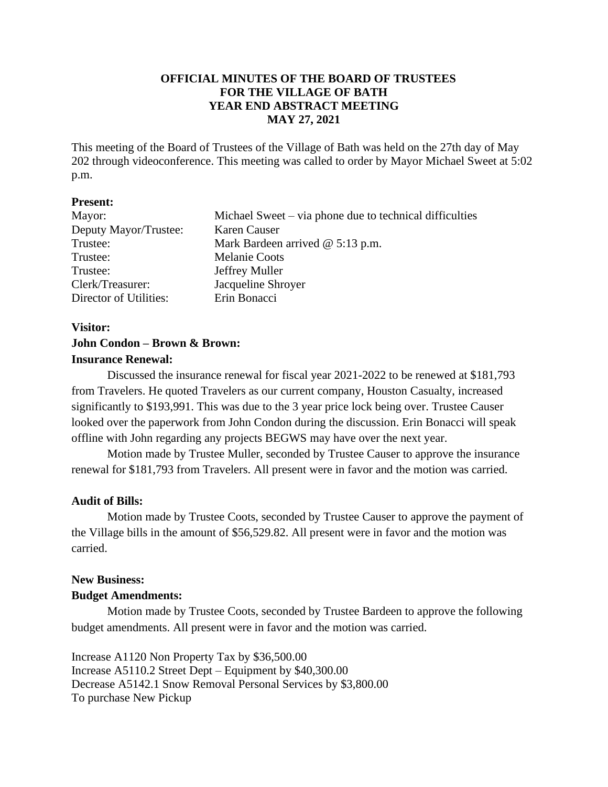# **OFFICIAL MINUTES OF THE BOARD OF TRUSTEES FOR THE VILLAGE OF BATH YEAR END ABSTRACT MEETING MAY 27, 2021**

This meeting of the Board of Trustees of the Village of Bath was held on the 27th day of May 202 through videoconference. This meeting was called to order by Mayor Michael Sweet at 5:02 p.m.

### **Present:**

| Mayor:                 | Michael Sweet – via phone due to technical difficulties |  |
|------------------------|---------------------------------------------------------|--|
| Deputy Mayor/Trustee:  | Karen Causer                                            |  |
| Trustee:               | Mark Bardeen arrived $@$ 5:13 p.m.                      |  |
| Trustee:               | <b>Melanie Coots</b>                                    |  |
| Trustee:               | Jeffrey Muller                                          |  |
| Clerk/Treasurer:       | Jacqueline Shroyer                                      |  |
| Director of Utilities: | Erin Bonacci                                            |  |

# **Visitor: John Condon – Brown & Brown: Insurance Renewal:**

Discussed the insurance renewal for fiscal year 2021-2022 to be renewed at \$181,793 from Travelers. He quoted Travelers as our current company, Houston Casualty, increased significantly to \$193,991. This was due to the 3 year price lock being over. Trustee Causer looked over the paperwork from John Condon during the discussion. Erin Bonacci will speak offline with John regarding any projects BEGWS may have over the next year.

Motion made by Trustee Muller, seconded by Trustee Causer to approve the insurance renewal for \$181,793 from Travelers. All present were in favor and the motion was carried.

# **Audit of Bills:**

Motion made by Trustee Coots, seconded by Trustee Causer to approve the payment of the Village bills in the amount of \$56,529.82. All present were in favor and the motion was carried.

# **New Business:**

# **Budget Amendments:**

Motion made by Trustee Coots, seconded by Trustee Bardeen to approve the following budget amendments. All present were in favor and the motion was carried.

Increase A1120 Non Property Tax by \$36,500.00 Increase A5110.2 Street Dept – Equipment by \$40,300.00 Decrease A5142.1 Snow Removal Personal Services by \$3,800.00 To purchase New Pickup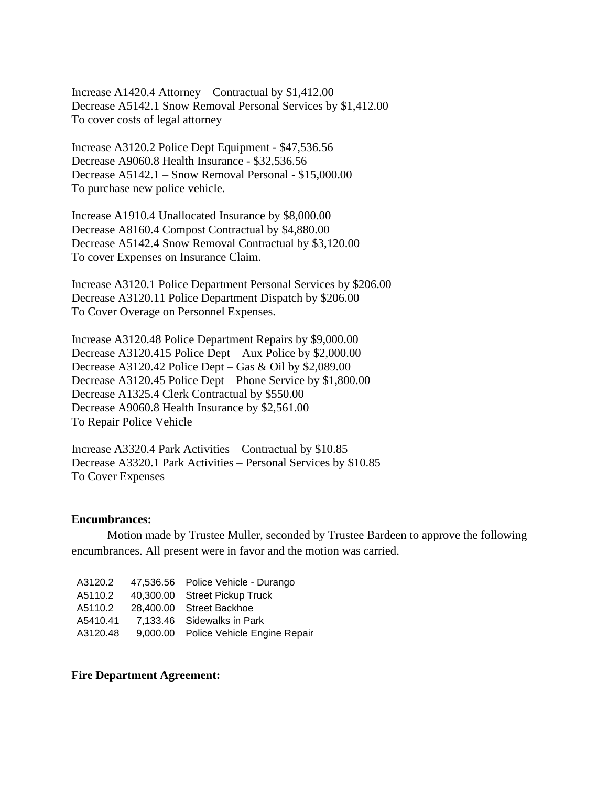Increase A1420.4 Attorney – Contractual by \$1,412.00 Decrease A5142.1 Snow Removal Personal Services by \$1,412.00 To cover costs of legal attorney

Increase A3120.2 Police Dept Equipment - \$47,536.56 Decrease A9060.8 Health Insurance - \$32,536.56 Decrease A5142.1 – Snow Removal Personal - \$15,000.00 To purchase new police vehicle.

Increase A1910.4 Unallocated Insurance by \$8,000.00 Decrease A8160.4 Compost Contractual by \$4,880.00 Decrease A5142.4 Snow Removal Contractual by \$3,120.00 To cover Expenses on Insurance Claim.

Increase A3120.1 Police Department Personal Services by \$206.00 Decrease A3120.11 Police Department Dispatch by \$206.00 To Cover Overage on Personnel Expenses.

Increase A3120.48 Police Department Repairs by \$9,000.00 Decrease A3120.415 Police Dept – Aux Police by \$2,000.00 Decrease A3120.42 Police Dept – Gas & Oil by \$2,089.00 Decrease A3120.45 Police Dept – Phone Service by \$1,800.00 Decrease A1325.4 Clerk Contractual by \$550.00 Decrease A9060.8 Health Insurance by \$2,561.00 To Repair Police Vehicle

Increase A3320.4 Park Activities – Contractual by \$10.85 Decrease A3320.1 Park Activities – Personal Services by \$10.85 To Cover Expenses

#### **Encumbrances:**

Motion made by Trustee Muller, seconded by Trustee Bardeen to approve the following encumbrances. All present were in favor and the motion was carried.

| A3120.2  | 47,536.56 Police Vehicle - Durango    |
|----------|---------------------------------------|
| A5110.2  | 40,300.00 Street Pickup Truck         |
| A5110.2  | 28,400.00 Street Backhoe              |
| A5410.41 | 7,133.46 Sidewalks in Park            |
| A3120.48 | 9,000.00 Police Vehicle Engine Repair |

### **Fire Department Agreement:**